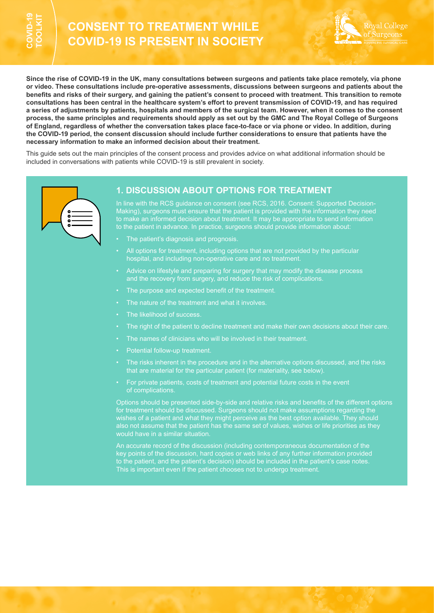

**Since the rise of COVID-19 in the UK, many consultations between surgeons and patients take place remotely, via phone or video. These consultations include pre-operative assessments, discussions between surgeons and patients about the benefits and risks of their surgery, and gaining the patient's consent to proceed with treatment. This transition to remote consultations has been central in the healthcare system's effort to prevent transmission of COVID-19, and has required a series of adjustments by patients, hospitals and members of the surgical team. However, when it comes to the consent process, the same principles and requirements should apply as set out by the GMC and The Royal College of Surgeons of England, regardless of whether the conversation takes place face-to-face or via phone or video. In addition, during the COVID-19 period, the consent discussion should include further considerations to ensure that patients have the necessary information to make an informed decision about their treatment.** 

This guide sets out the main principles of the consent process and provides advice on what additional information should be included in conversations with patients while COVID-19 is still prevalent in society.



# **1. DISCUSSION ABOUT OPTIONS FOR TREATMENT**

In line with the RCS guidance on consent (see RCS, 2016. Consent: Supported Decision-Making), surgeons must ensure that the patient is provided with the information they need to make an informed decision about treatment. It may be appropriate to send information to the patient in advance. In practice, surgeons should provide information about:

- The patient's diagnosis and prognosis.
- All options for treatment, including options that are not provided by the particular hospital, and including non-operative care and no treatment.
- Advice on lifestyle and preparing for surgery that may modify the disease process and the recovery from surgery, and reduce the risk of complications.
- The purpose and expected benefit of the treatment.
- The nature of the treatment and what it involves.
- The likelihood of success.
- The right of the patient to decline treatment and make their own decisions about their care.
- 
- Potential follow-up treatment.
- The risks inherent in the procedure and in the alternative options discussed, and the risks
- For private patients, costs of treatment and potential future costs in the event of complications.

Options should be presented side-by-side and relative risks and benefits of the different options for treatment should be discussed. Surgeons should not make assumptions regarding the wishes of a patient and what they might perceive as the best option available. They should would have in a similar situation.

key points of the discussion, hard copies or web links of any further information provided to the patient, and the patient's decision) should be included in the patient's case notes. This is important even if the patient chooses not to undergo treatment.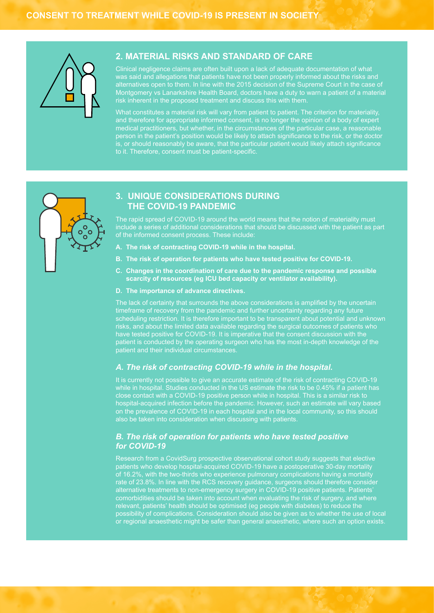

## **2. MATERIAL RISKS AND STANDARD OF CARE**

Clinical negligence claims are often built upon a lack of adequate documentation of what was said and allegations that patients have not been properly informed about the risks and alternatives open to them. In line with the 2015 decision of the Supreme Court in the case of Montgomery vs Lanarkshire Health Board, doctors have a duty to warn a patient of a material risk inherent in the proposed treatment and discuss this with them.

What constitutes a material risk will vary from patient to patient. The criterion for materiality, and therefore for appropriate informed consent, is no longer the opinion of a body of expert medical practitioners, but whether, in the circumstances of the particular case, a reasonable person in the patient's position would be likely to attach significance to the risk, or the doctor is, or should reasonably be aware, that the particular patient would likely attach significance to it. Therefore, consent must be patient-specific.



## **3. UNIQUE CONSIDERATIONS DURING THE COVID-19 PANDEMIC**

The rapid spread of COVID-19 around the world means that the notion of materiality must include a series of additional considerations that should be discussed with the patient as part

- **A. The risk of contracting COVID-19 while in the hospital.**
- **B. The risk of operation for patients who have tested positive for COVID-19.**
- **C. Changes in the coordination of care due to the pandemic response and possible scarcity of resources (eg ICU bed capacity or ventilator availability).**
- **D. The importance of advance directives.**

timeframe of recovery from the pandemic and further uncertainty regarding any future scheduling restriction. It is therefore important to be transparent about potential and unknown risks, and about the limited data available regarding the surgical outcomes of patients who have tested positive for COVID-19. It is imperative that the consent discussion with the patient is conducted by the operating surgeon who has the most in-depth knowledge of the patient and their individual circumstances.

### *A. The risk of contracting COVID-19 while in the hospital.*

It is currently not possible to give an accurate estimate of the risk of contracting COVID-19 while in hospital. Studies conducted in the US estimate the risk to be 0.45% if a patient has close contact with a COVID-19 positive person while in hospital. This is a similar risk to hospital-acquired infection before the pandemic. However, such an estimate will vary based on the prevalence of COVID-19 in each hospital and in the local community, so this should also be taken into consideration when discussing with patients.

### *B. The risk of operation for patients who have tested positive for COVID-19*

Research from a CovidSurg prospective observational cohort study suggests that elective patients who develop hospital-acquired COVID-19 have a postoperative 30-day mortality rate of 23.8%. In line with the RCS recovery guidance, surgeons should therefore consider alternative treatments to non-emergency surgery in COVID-19 positive patients. Patients' comorbidities should be taken into account when evaluating the risk of surgery, and where relevant, patients' health should be optimised (eg people with diabetes) to reduce the possibility of complications. Consideration should also be given as to whether the use of local or regional anaesthetic might be safer than general anaesthetic, where such an option exists.